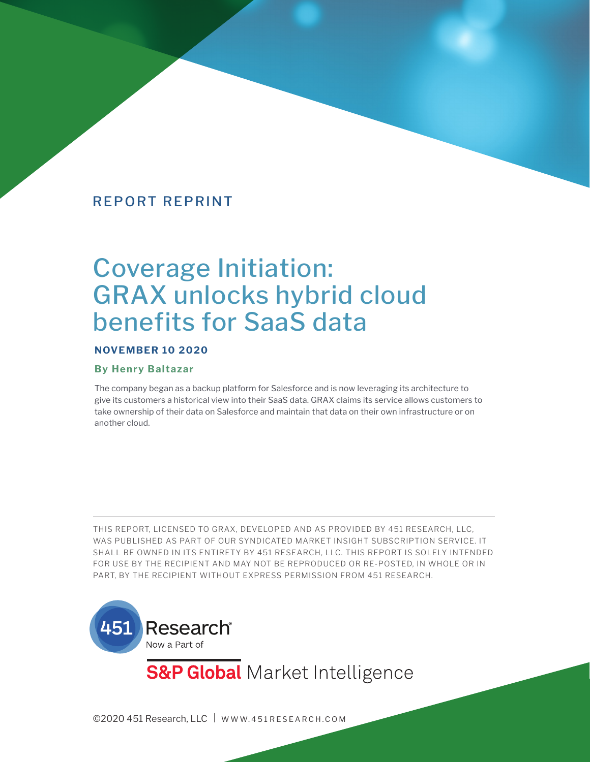# Coverage Initiation: GRAX unlocks hybrid cloud benefits for SaaS data

#### **NOVEMBER 10 2020**

#### **By Henry Baltazar**

The company began as a backup platform for Salesforce and is now leveraging its architecture to give its customers a historical view into their SaaS data. GRAX claims its service allows customers to take ownership of their data on Salesforce and maintain that data on their own infrastructure or on another cloud.

THIS REPORT, LICENSED TO GRAX, DEVELOPED AND AS PROVIDED BY 451 RESEARCH, LLC, WAS PUBLISHED AS PART OF OUR SYNDICATED MARKET INSIGHT SUBSCRIPTION SERVICE. IT SHALL BE OWNED IN ITS ENTIRETY BY 451 RESEARCH, LLC. THIS REPORT IS SOLELY INTENDED FOR USE BY THE RECIPIENT AND MAY NOT BE REPRODUCED OR RE-POSTED, IN WHOLE OR IN PART, BY THE RECIPIENT WITHOUT EXPRESS PERMISSION FROM 451 RESEARCH.



**S&P Global** Market Intelligence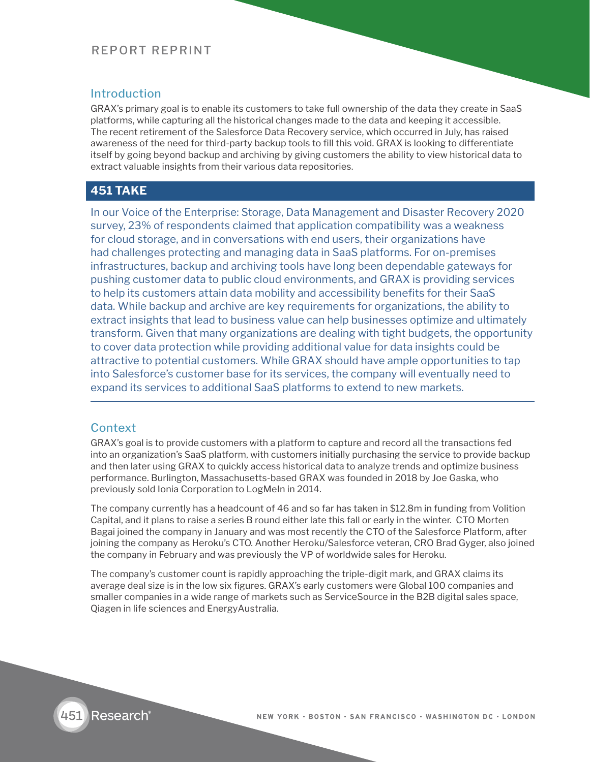#### **Introduction**

GRAX's primary goal is to enable its customers to take full ownership of the data they create in SaaS platforms, while capturing all the historical changes made to the data and keeping it accessible. The recent retirement of the Salesforce Data Recovery service, which occurred in July, has raised awareness of the need for third-party backup tools to fill this void. GRAX is looking to differentiate itself by going beyond backup and archiving by giving customers the ability to view historical data to extract valuable insights from their various data repositories.

#### **451 TAKE**

In our Voice of the Enterprise: Storage, Data Management and Disaster Recovery 2020 survey, 23% of respondents claimed that application compatibility was a weakness for cloud storage, and in conversations with end users, their organizations have had challenges protecting and managing data in SaaS platforms. For on-premises infrastructures, backup and archiving tools have long been dependable gateways for pushing customer data to public cloud environments, and GRAX is providing services to help its customers attain data mobility and accessibility benefits for their SaaS data. While backup and archive are key requirements for organizations, the ability to extract insights that lead to business value can help businesses optimize and ultimately transform. Given that many organizations are dealing with tight budgets, the opportunity to cover data protection while providing additional value for data insights could be attractive to potential customers. While GRAX should have ample opportunities to tap into Salesforce's customer base for its services, the company will eventually need to expand its services to additional SaaS platforms to extend to new markets.

#### Context

GRAX's goal is to provide customers with a platform to capture and record all the transactions fed into an organization's SaaS platform, with customers initially purchasing the service to provide backup and then later using GRAX to quickly access historical data to analyze trends and optimize business performance. Burlington, Massachusetts-based GRAX was founded in 2018 by Joe Gaska, who previously sold Ionia Corporation to LogMeIn in 2014.

The company currently has a headcount of 46 and so far has taken in \$12.8m in funding from Volition Capital, and it plans to raise a series B round either late this fall or early in the winter. CTO Morten Bagai joined the company in January and was most recently the CTO of the Salesforce Platform, after joining the company as Heroku's CTO. Another Heroku/Salesforce veteran, CRO Brad Gyger, also joined the company in February and was previously the VP of worldwide sales for Heroku.

The company's customer count is rapidly approaching the triple-digit mark, and GRAX claims its average deal size is in the low six figures. GRAX's early customers were Global 100 companies and smaller companies in a wide range of markets such as ServiceSource in the B2B digital sales space, Qiagen in life sciences and EnergyAustralia.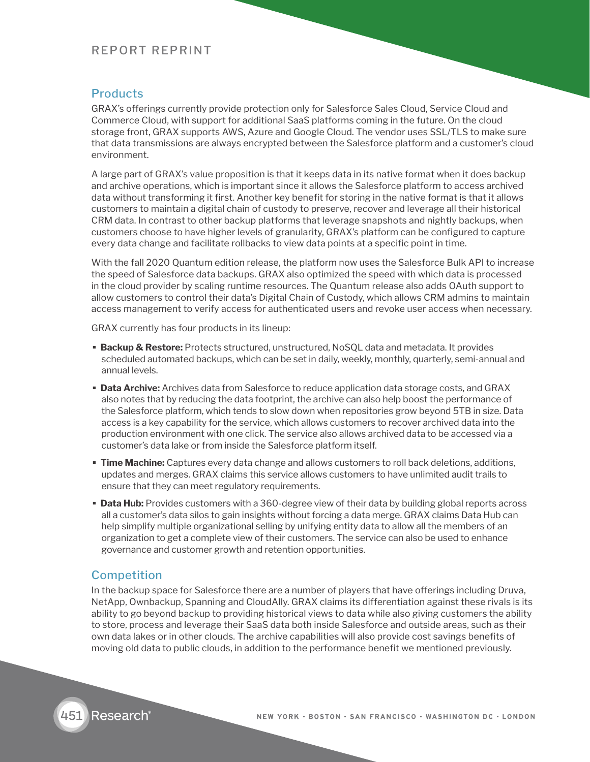#### **Products**

GRAX's offerings currently provide protection only for Salesforce Sales Cloud, Service Cloud and Commerce Cloud, with support for additional SaaS platforms coming in the future. On the cloud storage front, GRAX supports AWS, Azure and Google Cloud. The vendor uses SSL/TLS to make sure that data transmissions are always encrypted between the Salesforce platform and a customer's cloud environment.

A large part of GRAX's value proposition is that it keeps data in its native format when it does backup and archive operations, which is important since it allows the Salesforce platform to access archived data without transforming it first. Another key benefit for storing in the native format is that it allows customers to maintain a digital chain of custody to preserve, recover and leverage all their historical CRM data. In contrast to other backup platforms that leverage snapshots and nightly backups, when customers choose to have higher levels of granularity, GRAX's platform can be configured to capture every data change and facilitate rollbacks to view data points at a specific point in time.

With the fall 2020 Quantum edition release, the platform now uses the Salesforce Bulk API to increase the speed of Salesforce data backups. GRAX also optimized the speed with which data is processed in the cloud provider by scaling runtime resources. The Quantum release also adds OAuth support to allow customers to control their data's Digital Chain of Custody, which allows CRM admins to maintain access management to verify access for authenticated users and revoke user access when necessary.

GRAX currently has four products in its lineup:

- **Backup & Restore:** Protects structured, unstructured, NoSQL data and metadata. It provides scheduled automated backups, which can be set in daily, weekly, monthly, quarterly, semi-annual and annual levels.
- **Data Archive:** Archives data from Salesforce to reduce application data storage costs, and GRAX also notes that by reducing the data footprint, the archive can also help boost the performance of the Salesforce platform, which tends to slow down when repositories grow beyond 5TB in size. Data access is a key capability for the service, which allows customers to recover archived data into the production environment with one click. The service also allows archived data to be accessed via a customer's data lake or from inside the Salesforce platform itself.
- **Time Machine:** Captures every data change and allows customers to roll back deletions, additions, updates and merges. GRAX claims this service allows customers to have unlimited audit trails to ensure that they can meet regulatory requirements.
- **Data Hub:** Provides customers with a 360-degree view of their data by building global reports across all a customer's data silos to gain insights without forcing a data merge. GRAX claims Data Hub can help simplify multiple organizational selling by unifying entity data to allow all the members of an organization to get a complete view of their customers. The service can also be used to enhance governance and customer growth and retention opportunities.

#### Competition

In the backup space for Salesforce there are a number of players that have offerings including Druva, NetApp, Ownbackup, Spanning and CloudAlly. GRAX claims its differentiation against these rivals is its ability to go beyond backup to providing historical views to data while also giving customers the ability to store, process and leverage their SaaS data both inside Salesforce and outside areas, such as their own data lakes or in other clouds. The archive capabilities will also provide cost savings benefits of moving old data to public clouds, in addition to the performance benefit we mentioned previously.